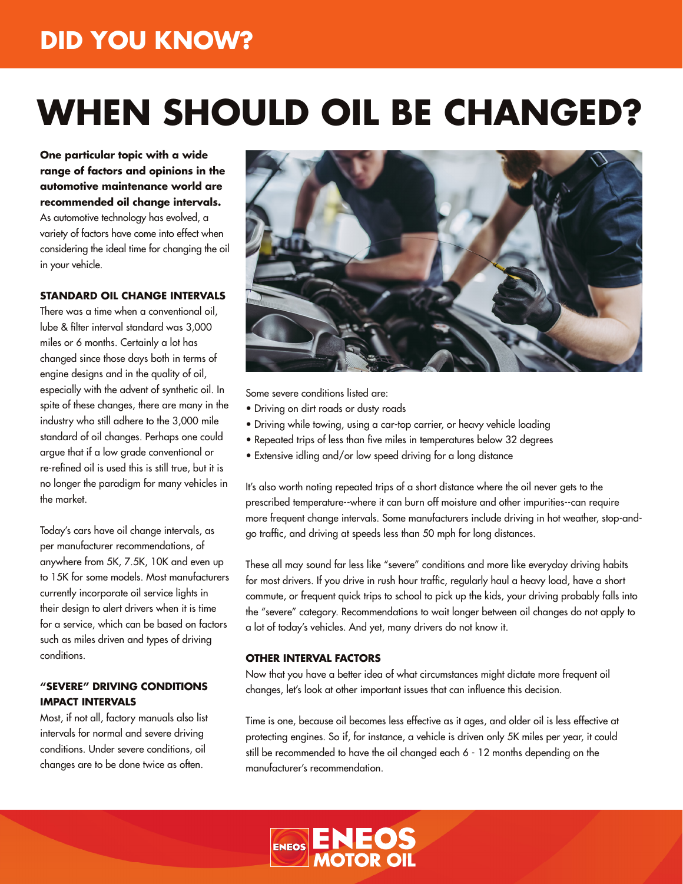# **DID YOU KNOW?**

# **WHEN SHOULD OIL BE CHANGED?**

**One particular topic with a wide range of factors and opinions in the automotive maintenance world are recommended oil change intervals.** As automotive technology has evolved, a variety of factors have come into effect when considering the ideal time for changing the oil in your vehicle.

#### **STANDARD OIL CHANGE INTERVALS**

There was a time when a conventional oil, lube & filter interval standard was 3,000 miles or 6 months. Certainly a lot has changed since those days both in terms of engine designs and in the quality of oil, especially with the advent of synthetic oil. In spite of these changes, there are many in the industry who still adhere to the 3,000 mile standard of oil changes. Perhaps one could argue that if a low grade conventional or re-refined oil is used this is still true, but it is no longer the paradigm for many vehicles in the market.

Today's cars have oil change intervals, as per manufacturer recommendations, of anywhere from 5K, 7.5K, 10K and even up to 15K for some models. Most manufacturers currently incorporate oil service lights in their design to alert drivers when it is time for a service, which can be based on factors such as miles driven and types of driving conditions.

#### **"SEVERE" DRIVING CONDITIONS IMPACT INTERVALS**

Most, if not all, factory manuals also list intervals for normal and severe driving conditions. Under severe conditions, oil changes are to be done twice as often.



Some severe conditions listed are:

- Driving on dirt roads or dusty roads
- Driving while towing, using a car-top carrier, or heavy vehicle loading
- Repeated trips of less than five miles in temperatures below 32 degrees
- Extensive idling and/or low speed driving for a long distance

It's also worth noting repeated trips of a short distance where the oil never gets to the prescribed temperature--where it can burn off moisture and other impurities--can require more frequent change intervals. Some manufacturers include driving in hot weather, stop-andgo traffic, and driving at speeds less than 50 mph for long distances.

These all may sound far less like "severe" conditions and more like everyday driving habits for most drivers. If you drive in rush hour traffic, regularly haul a heavy load, have a short commute, or frequent quick trips to school to pick up the kids, your driving probably falls into the "severe" category. Recommendations to wait longer between oil changes do not apply to a lot of today's vehicles. And yet, many drivers do not know it.

#### **OTHER INTERVAL FACTORS**

Now that you have a better idea of what circumstances might dictate more frequent oil changes, let's look at other important issues that can influence this decision.

Time is one, because oil becomes less effective as it ages, and older oil is less effective at protecting engines. So if, for instance, a vehicle is driven only 5K miles per year, it could still be recommended to have the oil changed each 6 - 12 months depending on the manufacturer's recommendation.